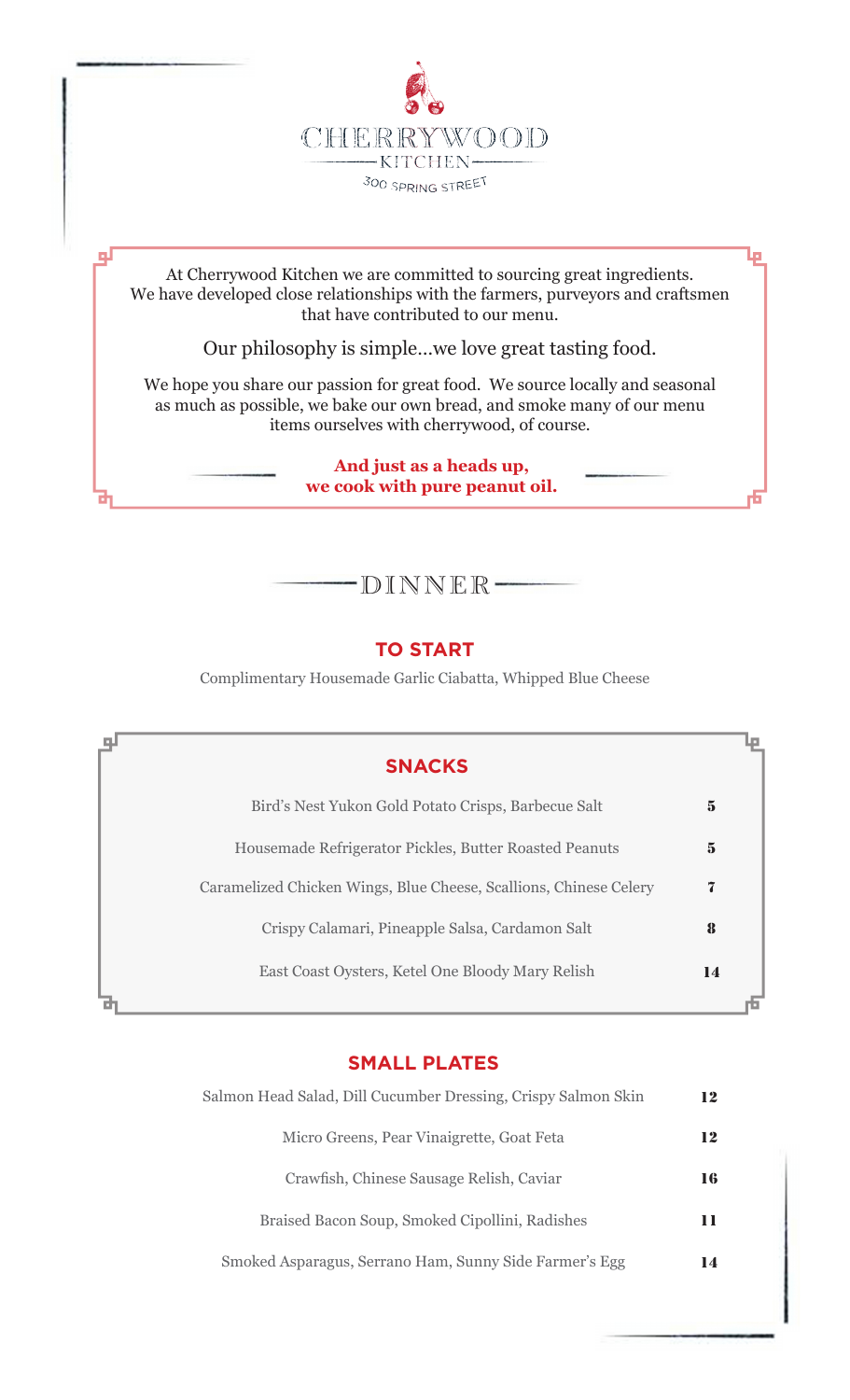

At Cherrywood Kitchen we are committed to sourcing great ingredients. We have developed close relationships with the farmers, purveyors and craftsmen that have contributed to our menu.

Lо

ᆗ

Our philosophy is simple…we love great tasting food.

We hope you share our passion for great food. We source locally and seasonal as much as possible, we bake our own bread, and smoke many of our menu items ourselves with cherrywood, of course.

> **And just as a heads up, we cook with pure peanut oil.**

# DINNER

## **TO START**

Complimentary Housemade Garlic Ciabatta, Whipped Blue Cheese

| <b>SNACKS</b>                                                     |          |
|-------------------------------------------------------------------|----------|
| Bird's Nest Yukon Gold Potato Crisps, Barbecue Salt               | $\bf{5}$ |
| Housemade Refrigerator Pickles, Butter Roasted Peanuts            | 5        |
| Caramelized Chicken Wings, Blue Cheese, Scallions, Chinese Celery | 7        |
| Crispy Calamari, Pineapple Salsa, Cardamon Salt                   | 8        |
| East Coast Oysters, Ketel One Bloody Mary Relish                  | 14       |
|                                                                   |          |

### **SMALL PLATES**

| Salmon Head Salad, Dill Cucumber Dressing, Crispy Salmon Skin |    |
|---------------------------------------------------------------|----|
| Micro Greens, Pear Vinaigrette, Goat Feta                     | 12 |
| Crawfish, Chinese Sausage Relish, Caviar                      | 16 |
| Braised Bacon Soup, Smoked Cipollini, Radishes                | 11 |
| Smoked Asparagus, Serrano Ham, Sunny Side Farmer's Egg        | 14 |